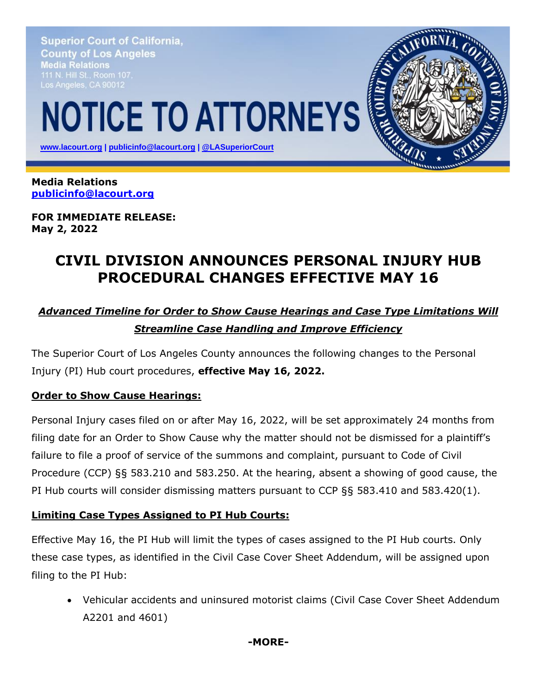**Superior Court of California, County of Los Angeles** Media Relations Los Angeles, CA 90012

# **NOTICE TO ATTORNEYS**

 **[www.lacourt.org](http://www.lacourt.org/) | [publicinfo@lacourt.org](mailto:publicinfo@lacourt.org) | [@LASuperiorCourt](https://twitter.com/LASuperiorCourt)**

**Media Relations [publicinfo@lacourt.org](mailto:publicinfo@lacourt.org)**

**FOR IMMEDIATE RELEASE: May 2, 2022**

## **CIVIL DIVISION ANNOUNCES PERSONAL INJURY HUB PROCEDURAL CHANGES EFFECTIVE MAY 16**

## *Advanced Timeline for Order to Show Cause Hearings and Case Type Limitations Will Streamline Case Handling and Improve Efficiency*

The Superior Court of Los Angeles County announces the following changes to the Personal Injury (PI) Hub court procedures, **effective May 16, 2022.**

#### **Order to Show Cause Hearings:**

Personal Injury cases filed on or after May 16, 2022, will be set approximately 24 months from filing date for an Order to Show Cause why the matter should not be dismissed for a plaintiff's failure to file a proof of service of the summons and complaint, pursuant to Code of Civil Procedure (CCP) §§ 583.210 and 583.250. At the hearing, absent a showing of good cause, the PI Hub courts will consider dismissing matters pursuant to CCP §§ 583.410 and 583.420(1).

#### **Limiting Case Types Assigned to PI Hub Courts:**

Effective May 16, the PI Hub will limit the types of cases assigned to the PI Hub courts. Only these case types, as identified in the Civil Case Cover Sheet Addendum, will be assigned upon filing to the PI Hub:

• Vehicular accidents and uninsured motorist claims (Civil Case Cover Sheet Addendum A2201 and 4601)

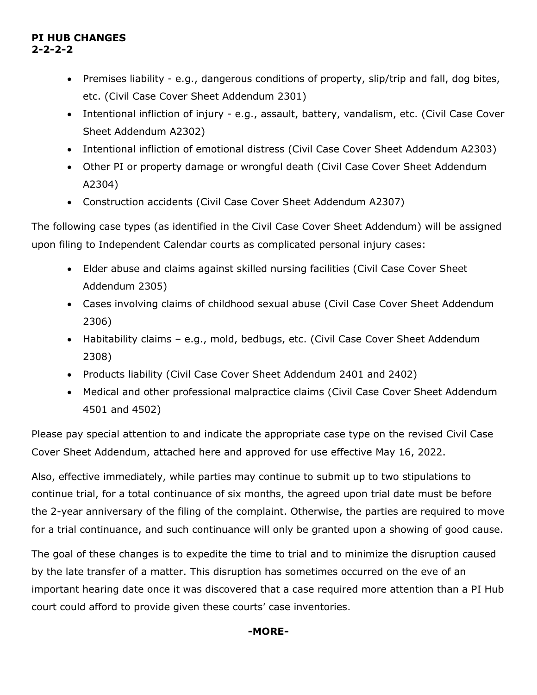#### **PI HUB CHANGES 2-2-2-2**

- Premises liability e.g., dangerous conditions of property, slip/trip and fall, dog bites, etc. (Civil Case Cover Sheet Addendum 2301)
- Intentional infliction of injury e.g., assault, battery, vandalism, etc. (Civil Case Cover Sheet Addendum A2302)
- Intentional infliction of emotional distress (Civil Case Cover Sheet Addendum A2303)
- Other PI or property damage or wrongful death (Civil Case Cover Sheet Addendum A2304)
- Construction accidents (Civil Case Cover Sheet Addendum A2307)

The following case types (as identified in the Civil Case Cover Sheet Addendum) will be assigned upon filing to Independent Calendar courts as complicated personal injury cases:

- Elder abuse and claims against skilled nursing facilities (Civil Case Cover Sheet Addendum 2305)
- Cases involving claims of childhood sexual abuse (Civil Case Cover Sheet Addendum 2306)
- Habitability claims e.g., mold, bedbugs, etc. (Civil Case Cover Sheet Addendum 2308)
- Products liability (Civil Case Cover Sheet Addendum 2401 and 2402)
- Medical and other professional malpractice claims (Civil Case Cover Sheet Addendum 4501 and 4502)

Please pay special attention to and indicate the appropriate case type on the revised Civil Case Cover Sheet Addendum, attached here and approved for use effective May 16, 2022.

Also, effective immediately, while parties may continue to submit up to two stipulations to continue trial, for a total continuance of six months, the agreed upon trial date must be before the 2-year anniversary of the filing of the complaint. Otherwise, the parties are required to move for a trial continuance, and such continuance will only be granted upon a showing of good cause.

The goal of these changes is to expedite the time to trial and to minimize the disruption caused by the late transfer of a matter. This disruption has sometimes occurred on the eve of an important hearing date once it was discovered that a case required more attention than a PI Hub court could afford to provide given these courts' case inventories.

#### **-MORE-**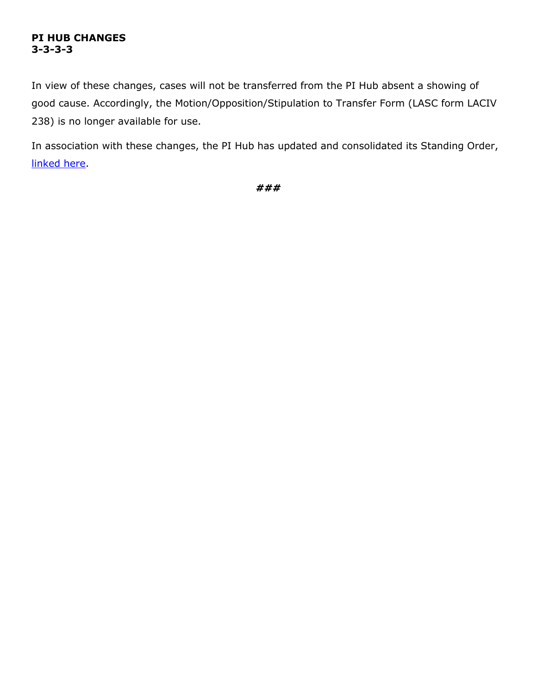#### **PI HUB CHANGES 3-3-3-3**

In view of these changes, cases will not be transferred from the PI Hub absent a showing of good cause. Accordingly, the Motion/Opposition/Stipulation to Transfer Form (LASC form LACIV 238) is no longer available for use.

In association with these changes, the PI Hub has updated and consolidated its Standing Order, [linked here.](https://lascpubstorage.blob.core.windows.net/cpw/LIBOPSCivil/Specialty%20Courts/General%20Jurisdiction%20Personal%20Injury%20(PI)%20Court/Links/7thAmendedStandingOrderForProceduresInThePersonalInjuryHubCourts.pdf)

*###*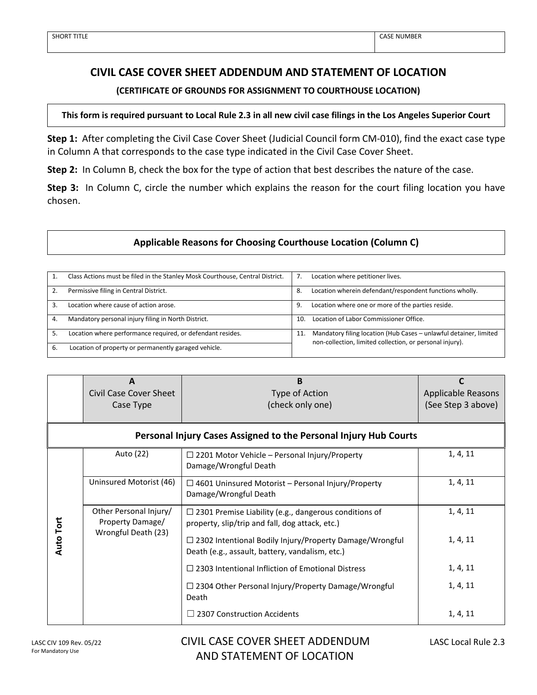#### **CIVIL CASE COVER SHEET ADDENDUM AND STATEMENT OF LOCATION**

#### **(CERTIFICATE OF GROUNDS FOR ASSIGNMENT TO COURTHOUSE LOCATION)**

#### **This form is required pursuant to Local Rule 2.3 in all new civil case filings in the Los Angeles Superior Court**

**Step 1:** After completing the Civil Case Cover Sheet (Judicial Council form CM-010), find the exact case type in Column A that corresponds to the case type indicated in the Civil Case Cover Sheet.

**Step 2:** In Column B, check the box for the type of action that best describes the nature of the case.

**Step 3:** In Column C, circle the number which explains the reason for the court filing location you have chosen.

#### **Applicable Reasons for Choosing Courthouse Location (Column C)**

| Class Actions must be filed in the Stanley Mosk Courthouse, Central District. |     | Location where petitioner lives.                                                                                              |
|-------------------------------------------------------------------------------|-----|-------------------------------------------------------------------------------------------------------------------------------|
| Permissive filing in Central District.                                        | 8.  | Location wherein defendant/respondent functions wholly.                                                                       |
| Location where cause of action arose.                                         | 9.  | Location where one or more of the parties reside.                                                                             |
| Mandatory personal injury filing in North District.                           | 10. | Location of Labor Commissioner Office.                                                                                        |
| Location where performance required, or defendant resides.                    | 11. | Mandatory filing location (Hub Cases - unlawful detainer, limited<br>non-collection, limited collection, or personal injury). |
| Location of property or permanently garaged vehicle.                          |     |                                                                                                                               |

|                  | A<br><b>Civil Case Cover Sheet</b><br>Case Type                   | B<br>Type of Action<br>(check only one)                                                                           | C<br><b>Applicable Reasons</b><br>(See Step 3 above) |
|------------------|-------------------------------------------------------------------|-------------------------------------------------------------------------------------------------------------------|------------------------------------------------------|
|                  |                                                                   | Personal Injury Cases Assigned to the Personal Injury Hub Courts                                                  |                                                      |
|                  | Auto (22)                                                         | $\Box$ 2201 Motor Vehicle – Personal Injury/Property<br>Damage/Wrongful Death                                     | 1, 4, 11                                             |
|                  | Uninsured Motorist (46)                                           | $\Box$ 4601 Uninsured Motorist – Personal Injury/Property<br>Damage/Wrongful Death                                | 1, 4, 11                                             |
|                  | Other Personal Injury/<br>Property Damage/<br>Wrongful Death (23) | $\Box$ 2301 Premise Liability (e.g., dangerous conditions of<br>property, slip/trip and fall, dog attack, etc.)   | 1, 4, 11                                             |
| <b>Auto Tort</b> |                                                                   | $\Box$ 2302 Intentional Bodily Injury/Property Damage/Wrongful<br>Death (e.g., assault, battery, vandalism, etc.) | 1, 4, 11                                             |
|                  |                                                                   | $\Box$ 2303 Intentional Infliction of Emotional Distress                                                          | 1, 4, 11                                             |
|                  |                                                                   | $\Box$ 2304 Other Personal Injury/Property Damage/Wrongful<br>Death                                               | 1, 4, 11                                             |
|                  |                                                                   | 2307 Construction Accidents                                                                                       | 1, 4, 11                                             |

LASC CIV 109 Rev. 05/22 CIVIL CASE COVER SHEET ADDENDUM LASC Local Rule 2.3 AND STATEMENT OF LOCATION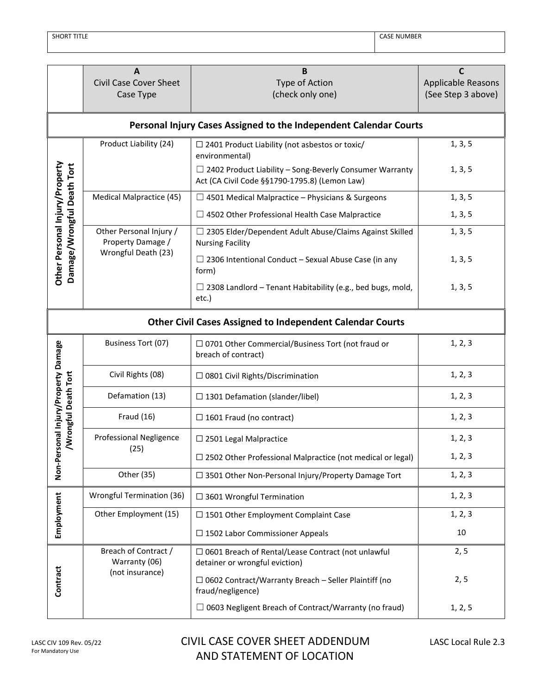SHORT TITLE CASE NUMBER

|                                | $\mathbf{A}$<br><b>Civil Case Cover Sheet</b><br>Case Type                                                                                | B<br>Type of Action<br>(check only one)                                                                         | C<br><b>Applicable Reasons</b><br>(See Step 3 above) |
|--------------------------------|-------------------------------------------------------------------------------------------------------------------------------------------|-----------------------------------------------------------------------------------------------------------------|------------------------------------------------------|
|                                |                                                                                                                                           | Personal Injury Cases Assigned to the Independent Calendar Courts                                               |                                                      |
|                                | Product Liability (24)                                                                                                                    | $\Box$ 2401 Product Liability (not asbestos or toxic/<br>environmental)                                         | 1, 3, 5                                              |
| Other Personal Injury/Property |                                                                                                                                           | $\Box$ 2402 Product Liability – Song-Beverly Consumer Warranty<br>Act (CA Civil Code §§1790-1795.8) (Lemon Law) | 1, 3, 5                                              |
|                                | Medical Malpractice (45)                                                                                                                  | 1, 3, 5                                                                                                         |                                                      |
|                                |                                                                                                                                           | $\Box$ 4502 Other Professional Health Case Malpractice                                                          |                                                      |
|                                | Other Personal Injury /<br>$\Box$ 2305 Elder/Dependent Adult Abuse/Claims Against Skilled<br>Property Damage /<br><b>Nursing Facility</b> |                                                                                                                 | 1, 3, 5                                              |
| Damage/Wrongful Death Tort     | Wrongful Death (23)                                                                                                                       | $\Box$ 2306 Intentional Conduct – Sexual Abuse Case (in any<br>form)                                            | 1, 3, 5                                              |
|                                |                                                                                                                                           | $\Box$ 2308 Landlord – Tenant Habitability (e.g., bed bugs, mold,<br>etc.)                                      | 1, 3, 5                                              |
|                                |                                                                                                                                           | <b>Other Civil Cases Assigned to Independent Calendar Courts</b>                                                |                                                      |
| ersonal Injury/Property Damage | Business Tort (07)                                                                                                                        | □ 0701 Other Commercial/Business Tort (not fraud or<br>breach of contract)                                      | 1, 2, 3                                              |
|                                | Civil Rights (08)                                                                                                                         | □ 0801 Civil Rights/Discrimination                                                                              | 1, 2, 3                                              |
| /Wrongful Death Tort           | Defamation (13)                                                                                                                           | $\Box$ 1301 Defamation (slander/libel)                                                                          | 1, 2, 3                                              |
|                                | <b>Fraud (16)</b>                                                                                                                         | $\Box$ 1601 Fraud (no contract)                                                                                 | 1, 2, 3                                              |
|                                | Professional Negligence<br>$\square$ 2501 Legal Malpractice                                                                               |                                                                                                                 | 1, 2, 3                                              |
|                                | (25)                                                                                                                                      | $\Box$ 2502 Other Professional Malpractice (not medical or legal)                                               | 1, 2, 3                                              |
| Non-Pe                         | Other (35)                                                                                                                                | □ 3501 Other Non-Personal Injury/Property Damage Tort                                                           | 1, 2, 3                                              |
|                                | Wrongful Termination (36)                                                                                                                 | $\Box$ 3601 Wrongful Termination                                                                                | 1, 2, 3                                              |
| Employment                     | Other Employment (15)                                                                                                                     | □ 1501 Other Employment Complaint Case                                                                          | 1, 2, 3                                              |
|                                |                                                                                                                                           | $\square$ 1502 Labor Commissioner Appeals                                                                       | 10                                                   |
|                                | Breach of Contract /<br>□ 0601 Breach of Rental/Lease Contract (not unlawful<br>Warranty (06)<br>detainer or wrongful eviction)           |                                                                                                                 | 2, 5                                                 |
| Contract                       | (not insurance)                                                                                                                           | $\Box$ 0602 Contract/Warranty Breach - Seller Plaintiff (no<br>fraud/negligence)                                | 2, 5                                                 |
|                                |                                                                                                                                           | $\Box$ 0603 Negligent Breach of Contract/Warranty (no fraud)                                                    | 1, 2, 5                                              |

## CIVIL CASE COVER SHEET ADDENDUM LASC Local Rule 2.3 AND STATEMENT OF LOCATION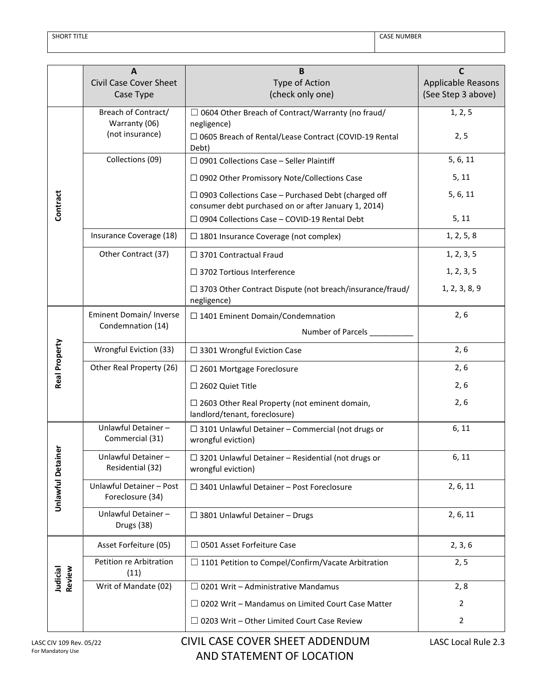|                        | A                                            | B                                                                                                                  | C                                               |
|------------------------|----------------------------------------------|--------------------------------------------------------------------------------------------------------------------|-------------------------------------------------|
|                        | <b>Civil Case Cover Sheet</b>                | Type of Action<br>(check only one)                                                                                 | <b>Applicable Reasons</b><br>(See Step 3 above) |
|                        | Case Type                                    |                                                                                                                    |                                                 |
|                        | Breach of Contract/<br>Warranty (06)         | $\Box$ 0604 Other Breach of Contract/Warranty (no fraud/<br>negligence)                                            | 1, 2, 5                                         |
|                        | (not insurance)                              | □ 0605 Breach of Rental/Lease Contract (COVID-19 Rental<br>Debt)                                                   | 2, 5                                            |
|                        | Collections (09)                             | $\Box$ 0901 Collections Case - Seller Plaintiff                                                                    | 5, 6, 11                                        |
|                        |                                              | $\Box$ 0902 Other Promissory Note/Collections Case                                                                 | 5, 11                                           |
| Contract               |                                              | $\Box$ 0903 Collections Case – Purchased Debt (charged off<br>consumer debt purchased on or after January 1, 2014) | 5, 6, 11                                        |
|                        |                                              | $\Box$ 0904 Collections Case - COVID-19 Rental Debt                                                                | 5, 11                                           |
|                        | Insurance Coverage (18)                      | $\Box$ 1801 Insurance Coverage (not complex)                                                                       | 1, 2, 5, 8                                      |
|                        | Other Contract (37)                          | $\Box$ 3701 Contractual Fraud                                                                                      | 1, 2, 3, 5                                      |
|                        |                                              | □ 3702 Tortious Interference                                                                                       | 1, 2, 3, 5                                      |
|                        |                                              | $\Box$ 3703 Other Contract Dispute (not breach/insurance/fraud/<br>negligence)                                     | 1, 2, 3, 8, 9                                   |
|                        | Eminent Domain/ Inverse                      | $\Box$ 1401 Eminent Domain/Condemnation                                                                            | 2, 6                                            |
|                        | Condemnation (14)<br>Number of Parcels       |                                                                                                                    |                                                 |
| Real Property          | Wrongful Eviction (33)                       | $\square$ 3301 Wrongful Eviction Case                                                                              | 2, 6                                            |
|                        | Other Real Property (26)                     | $\square$ 2601 Mortgage Foreclosure                                                                                | 2, 6                                            |
|                        |                                              | □ 2602 Quiet Title                                                                                                 | 2, 6                                            |
|                        |                                              | $\Box$ 2603 Other Real Property (not eminent domain,<br>landlord/tenant, foreclosure)                              | 2, 6                                            |
|                        | Unlawful Detainer-<br>Commercial (31)        | □ 3101 Unlawful Detainer - Commercial (not drugs or<br>wrongful eviction)                                          | 6, 11                                           |
| ō                      | Unlawful Detainer-<br>Residential (32)       | $\Box$ 3201 Unlawful Detainer - Residential (not drugs or<br>wrongful eviction)                                    | 6, 11                                           |
| <b>Unlawful Detain</b> | Unlawful Detainer - Post<br>Foreclosure (34) | $\Box$ 3401 Unlawful Detainer - Post Foreclosure                                                                   | 2, 6, 11                                        |
|                        | Unlawful Detainer-<br>Drugs (38)             | $\Box$ 3801 Unlawful Detainer - Drugs                                                                              | 2, 6, 11                                        |
|                        | Asset Forfeiture (05)                        | $\Box$ 0501 Asset Forfeiture Case                                                                                  | 2, 3, 6                                         |
| Review                 | Petition re Arbitration<br>(11)              | $\Box$ 1101 Petition to Compel/Confirm/Vacate Arbitration                                                          | 2, 5                                            |
| Judicial               | Writ of Mandate (02)                         | $\Box$ 0201 Writ – Administrative Mandamus                                                                         | 2, 8                                            |
|                        |                                              | $\Box$ 0202 Writ – Mandamus on Limited Court Case Matter                                                           | $\overline{2}$                                  |
|                        |                                              | $\Box$ 0203 Writ – Other Limited Court Case Review                                                                 | $\overline{2}$                                  |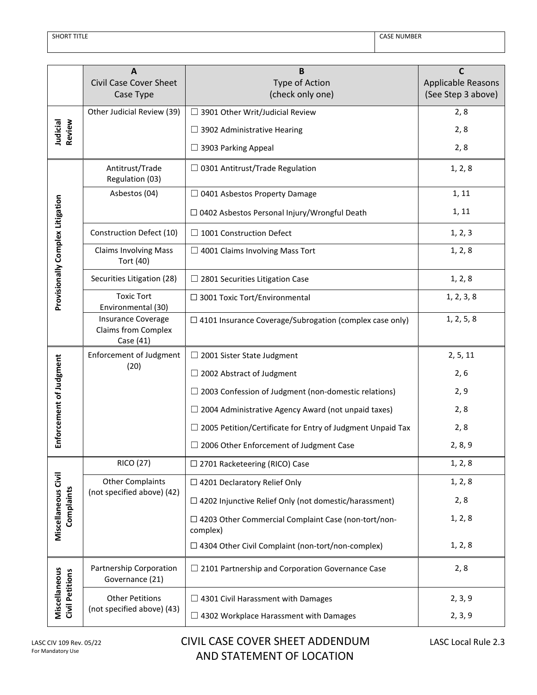| <b>SHORT TITLE</b> |  |
|--------------------|--|
|                    |  |

|                                         | A<br><b>Civil Case Cover Sheet</b>                                                                    | B                                                                 | C                                        |
|-----------------------------------------|-------------------------------------------------------------------------------------------------------|-------------------------------------------------------------------|------------------------------------------|
|                                         | Case Type                                                                                             | Type of Action<br>(check only one)                                | Applicable Reasons<br>(See Step 3 above) |
|                                         | Other Judicial Review (39)                                                                            | □ 3901 Other Writ/Judicial Review                                 | 2,8                                      |
| Review<br>Judicial                      |                                                                                                       | $\Box$ 3902 Administrative Hearing                                | 2, 8                                     |
|                                         |                                                                                                       | □ 3903 Parking Appeal                                             | 2,8                                      |
|                                         | Antitrust/Trade<br>Regulation (03)                                                                    | $\Box$ 0301 Antitrust/Trade Regulation                            | 1, 2, 8                                  |
|                                         | Asbestos (04)                                                                                         | $\Box$ 0401 Asbestos Property Damage                              | 1, 11                                    |
|                                         |                                                                                                       | □ 0402 Asbestos Personal Injury/Wrongful Death                    | 1, 11                                    |
|                                         | Construction Defect (10)                                                                              | $\Box$ 1001 Construction Defect                                   | 1, 2, 3                                  |
| Provisionally Complex Litigation        | <b>Claims Involving Mass</b><br>Tort (40)                                                             | $\Box$ 4001 Claims Involving Mass Tort                            | 1, 2, 8                                  |
|                                         | Securities Litigation (28)                                                                            | $\Box$ 2801 Securities Litigation Case                            | 1, 2, 8                                  |
|                                         | <b>Toxic Tort</b><br>Environmental (30)                                                               | $\Box$ 3001 Toxic Tort/Environmental                              | 1, 2, 3, 8                               |
|                                         | Insurance Coverage<br><b>Claims from Complex</b><br>Case (41)                                         | $\Box$ 4101 Insurance Coverage/Subrogation (complex case only)    | 1, 2, 5, 8                               |
|                                         | <b>Enforcement of Judgment</b>                                                                        | $\Box$ 2001 Sister State Judgment                                 | 2, 5, 11                                 |
| Enforcement of Judgment                 | (20)                                                                                                  | $\Box$ 2002 Abstract of Judgment                                  | 2, 6                                     |
|                                         |                                                                                                       | $\Box$ 2003 Confession of Judgment (non-domestic relations)       | 2, 9                                     |
|                                         |                                                                                                       | $\Box$ 2004 Administrative Agency Award (not unpaid taxes)        | 2, 8                                     |
|                                         |                                                                                                       | $\Box$ 2005 Petition/Certificate for Entry of Judgment Unpaid Tax | 2,8                                      |
|                                         |                                                                                                       | $\Box$ 2006 Other Enforcement of Judgment Case                    | 2, 8, 9                                  |
|                                         | <b>RICO (27)</b>                                                                                      | $\Box$ 2701 Racketeering (RICO) Case                              | 1, 2, 8                                  |
|                                         | <b>Other Complaints</b>                                                                               | $\Box$ 4201 Declaratory Relief Only                               | 1, 2, 8                                  |
| Complaints                              | (not specified above) (42)                                                                            | $\Box$ 4202 Injunctive Relief Only (not domestic/harassment)      | 2,8                                      |
| Miscellaneous Civil                     |                                                                                                       | □ 4203 Other Commercial Complaint Case (non-tort/non-<br>complex) | 1, 2, 8                                  |
|                                         |                                                                                                       | □ 4304 Other Civil Complaint (non-tort/non-complex)               | 1, 2, 8                                  |
| Miscellaneous<br><b>Civil Petitions</b> | Partnership Corporation<br>$\Box$ 2101 Partnership and Corporation Governance Case<br>Governance (21) |                                                                   | 2,8                                      |
|                                         | <b>Other Petitions</b>                                                                                | $\Box$ 4301 Civil Harassment with Damages                         | 2, 3, 9                                  |
|                                         | (not specified above) (43)                                                                            | $\Box$ 4302 Workplace Harassment with Damages                     | 2, 3, 9                                  |

## CIVIL CASE COVER SHEET ADDENDUM LASC Local Rule 2.3 AND STATEMENT OF LOCATION